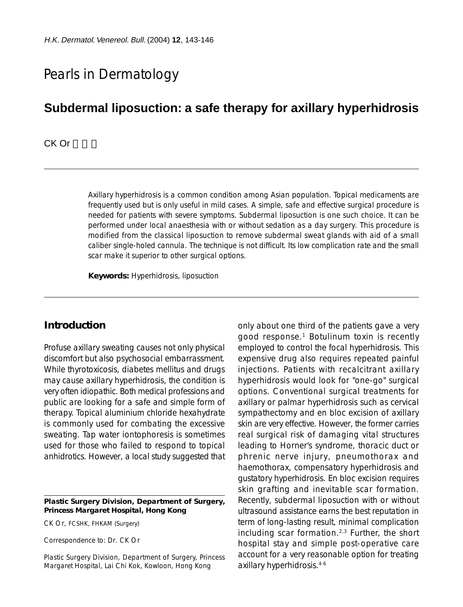# Pearls in Dermatology

## **Subdermal liposuction: a safe therapy for axillary hyperhidrosis**

CK Or

Axillary hyperhidrosis is a common condition among Asian population. Topical medicaments are frequently used but is only useful in mild cases. A simple, safe and effective surgical procedure is needed for patients with severe symptoms. Subdermal liposuction is one such choice. It can be performed under local anaesthesia with or without sedation as a day surgery. This procedure is modified from the classical liposuction to remove subdermal sweat glands with aid of a small caliber single-holed cannula. The technique is not difficult. Its low complication rate and the small scar make it superior to other surgical options.

**Keywords:** Hyperhidrosis, liposuction

#### **Introduction**

Profuse axillary sweating causes not only physical discomfort but also psychosocial embarrassment. While thyrotoxicosis, diabetes mellitus and drugs may cause axillary hyperhidrosis, the condition is very often idiopathic. Both medical professions and public are looking for a safe and simple form of therapy. Topical aluminium chloride hexahydrate is commonly used for combating the excessive sweating. Tap water iontophoresis is sometimes used for those who failed to respond to topical anhidrotics. However, a local study suggested that

#### **Plastic Surgery Division, Department of Surgery, Princess Margaret Hospital, Hong Kong**

CK Or, FCSHK, FHKAM (Surgery)

Correspondence to: Dr. CK Or

Plastic Surgery Division, Department of Surgery, Princess Margaret Hospital, Lai Chi Kok, Kowloon, Hong Kong

only about one third of the patients gave a very good response.<sup>1</sup> Botulinum toxin is recently employed to control the focal hyperhidrosis. This expensive drug also requires repeated painful injections. Patients with recalcitrant axillary hyperhidrosis would look for "one-go" surgical options. Conventional surgical treatments for axillary or palmar hyperhidrosis such as cervical sympathectomy and en bloc excision of axillary skin are very effective. However, the former carries real surgical risk of damaging vital structures leading to Horner's syndrome, thoracic duct or phrenic nerve injury, pneumothorax and haemothorax, compensatory hyperhidrosis and gustatory hyperhidrosis. En bloc excision requires skin grafting and inevitable scar formation. Recently, subdermal liposuction with or without ultrasound assistance earns the best reputation in term of long-lasting result, minimal complication including scar formation.2,3 Further, the short hospital stay and simple post-operative care account for a very reasonable option for treating axillary hyperhidrosis.4-6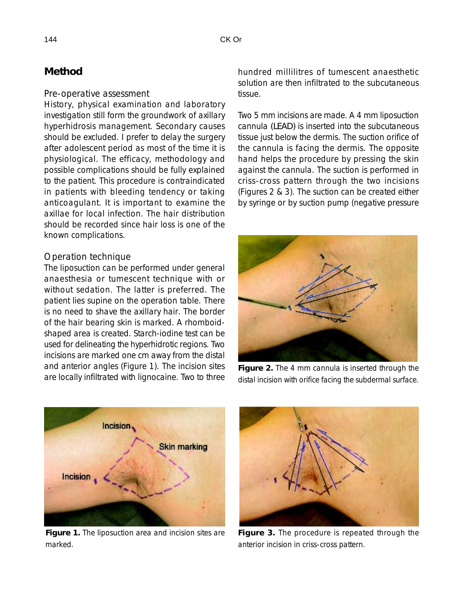## **Method**

#### *Pre-operative assessment*

History, physical examination and laboratory investigation still form the groundwork of axillary hyperhidrosis management. Secondary causes should be excluded. I prefer to delay the surgery after adolescent period as most of the time it is physiological. The efficacy, methodology and possible complications should be fully explained to the patient. This procedure is contraindicated in patients with bleeding tendency or taking anticoagulant. It is important to examine the axillae for local infection. The hair distribution should be recorded since hair loss is one of the known complications.

#### *Operation technique*

The liposuction can be performed under general anaesthesia or tumescent technique with or without sedation. The latter is preferred. The patient lies supine on the operation table. There is no need to shave the axillary hair. The border of the hair bearing skin is marked. A rhomboidshaped area is created. Starch-iodine test can be used for delineating the hyperhidrotic regions. Two incisions are marked one cm away from the distal and anterior angles (Figure 1). The incision sites are locally infiltrated with lignocaine. Two to three hundred millilitres of tumescent anaesthetic solution are then infiltrated to the subcutaneous tissue.

Two 5 mm incisions are made. A 4 mm liposuction cannula *(LEAD)* is inserted into the subcutaneous tissue just below the dermis. The suction orifice of the cannula is facing the dermis. The opposite hand helps the procedure by pressing the skin against the cannula. The suction is performed in criss-cross pattern through the two incisions (Figures 2 & 3). The suction can be created either by syringe or by suction pump (negative pressure



**Figure 2.** The 4 mm cannula is inserted through the distal incision with orifice facing the subdermal surface.



**Figure 1.** The liposuction area and incision sites are marked.



**Figure 3.** The procedure is repeated through the anterior incision in criss-cross pattern.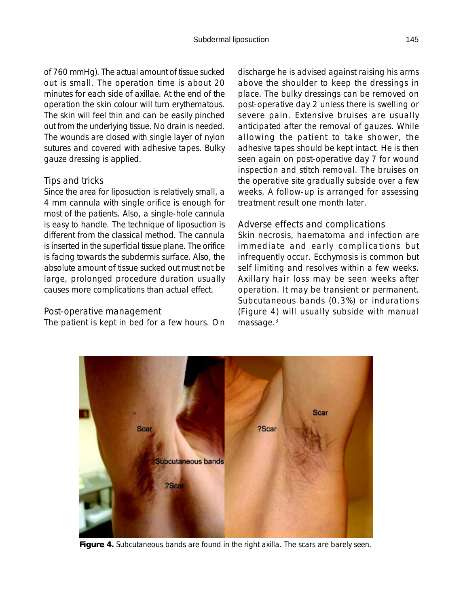of 760 mmHg). The actual amount of tissue sucked out is small. The operation time is about 20 minutes for each side of axillae. At the end of the operation the skin colour will turn erythematous. The skin will feel thin and can be easily pinched out from the underlying tissue. No drain is needed. The wounds are closed with single layer of nylon sutures and covered with adhesive tapes. Bulky gauze dressing is applied.

### *Tips and tricks*

Since the area for liposuction is relatively small, a 4 mm cannula with single orifice is enough for most of the patients. Also, a single-hole cannula is easy to handle. The technique of liposuction is different from the classical method. The cannula is inserted in the superficial tissue plane. The orifice is facing towards the subdermis surface. Also, the absolute amount of tissue sucked out must not be large, prolonged procedure duration usually causes more complications than actual effect.

### *Post-operative management*

The patient is kept in bed for a few hours. On

discharge he is advised against raising his arms above the shoulder to keep the dressings in place. The bulky dressings can be removed on post-operative day 2 unless there is swelling or severe pain. Extensive bruises are usually anticipated after the removal of gauzes. While allowing the patient to take shower, the adhesive tapes should be kept intact. He is then seen again on post-operative day 7 for wound inspection and stitch removal. The bruises on the operative site gradually subside over a few weeks. A follow-up is arranged for assessing treatment result one month later.

#### *Adverse effects and complications*

Skin necrosis, haematoma and infection are immediate and early complications but infrequently occur. Ecchymosis is common but self limiting and resolves within a few weeks. Axillary hair loss may be seen weeks after operation. It may be transient or permanent. Subcutaneous bands (0.3%) or indurations (Figure 4) will usually subside with manual massage.<sup>3</sup>

**Figure 4.** Subcutaneous bands are found in the right axilla. The scars are barely seen.